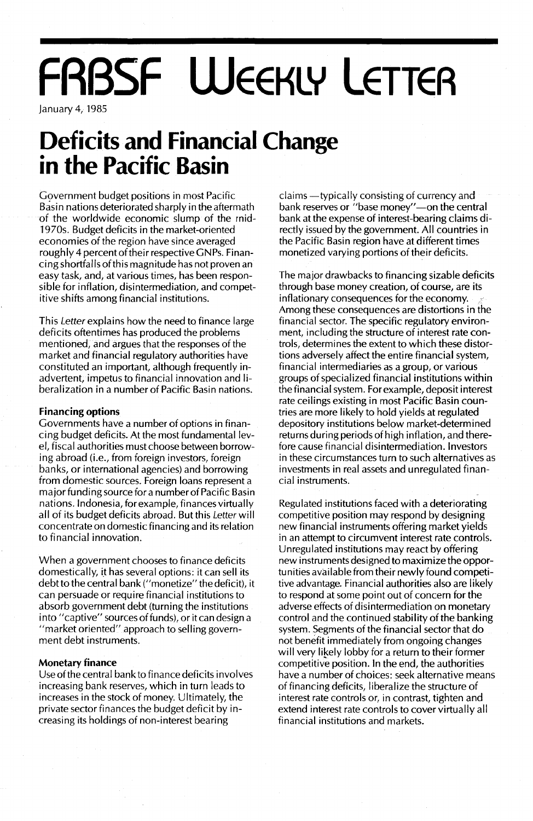# **FRBSF WEEKLY LETTER**

January 4, 1985

### **Deficits and Financial Change in the Pacific Basin**

Government budget positions in most Pacific Basin nations deteriorated sharply in the aftermath of the worldwide economic slump of the rnid-1970s. Budget deficits in the market-oriented economies of the region have since averaged roughly 4 percent of their respective GNPs. Financing shortfalls ofthis magnitude has not proven an easy task, and, at various times, has been responsible for inflation, disintermediation, and competitive shifts among financial institutions.

This Letter explains how the need to finance large deficits oftentimes has produced the problems mentioned, and argues that the responses of the market and financial regulatory authorities have constituted an important, although frequently inadvertent, impetus to financial innovation and liberalization in a number of Pacific Basin nations.

#### **Financing options**

Governments have a number of options in financing budget deficits. At the most fundamental level, fiscal authorities must choose between borrowing abroad (i.e., from foreign investors, foreign banks, or international agencies) and borrowing from domestic sources. Foreign loans represent a major funding source for a number of Pacific Basin nations. Indonesia, for example, finances virtually all of its budget deficits abroad. But this Letter will concentrate on domestic financing and its relation to financial innovation.

When a government chooses to finance deficits domestically, it has several options: it can sell its debt to the central bank ("monetize" the deficit), it can persuade or require financial institutions to absorb government debt (turning the institutions into "captive" sources of funds), or it can design a "market oriented" approach to selling government debt instruments.

#### **Monetary finance**

Use of the central bank to finance deficits involves increasing bank reserves, which in turn leads to increases in the stock of money. Ultimately, the private sector finances the budget deficit by increasing its holdings of non-interest bearing

claims -typically consisting of currency and bank reserves or "base money"-on the central bank at the expense of interest-bearing claims directly issued by the government. All countries in the Pacific Basin region have at different times monetized varying portions of their deficits.

The major drawbacks to financing sizable deficits through base money creation, of course, are its inflationary consequences for the economy. Among these consequences are distortions in the financial sector. The specific regulatory environment, including the structure of interest rate controls, determines the extent to which these distortions adversely affect the entire financial system, financial intermediaries as a group, or various groups of specialized financial institutions within the financial system. For example, deposit interest rate ceilings existing in most Pacific Basin countries are more likely to hold yields at regulated depository institutions below market-determined returns during periods of high inflation, and therefore cause financial disintermediation. Investors in these circumstances turn to such alternatives as investments in real assets and unregulated financial instruments.

Regulated institutions faced with a deteriorating competitive position may respond by designing new financial instruments offering market yields in an attempt to circumvent interest rate controls. Unregulated institutions may react by offering new instruments designed to maximize the opportunities available from their newly found competitive advantage. Financial authorities also are likely to respond at some point out of concern for the adverse effects of disintermediation on monetary control and the continued stability of the banking system. Segments of the financial sector that do not benefit immediately from ongoing changes will very likely lobby for a return to their former competitive position. In the end, the authorities have a number of choices: seek alternative means of financing deficits, liberalize the structure of interest rate controls or, in contrast, tighten and extend interest rate controls to cover virtually all financial institutions and markets.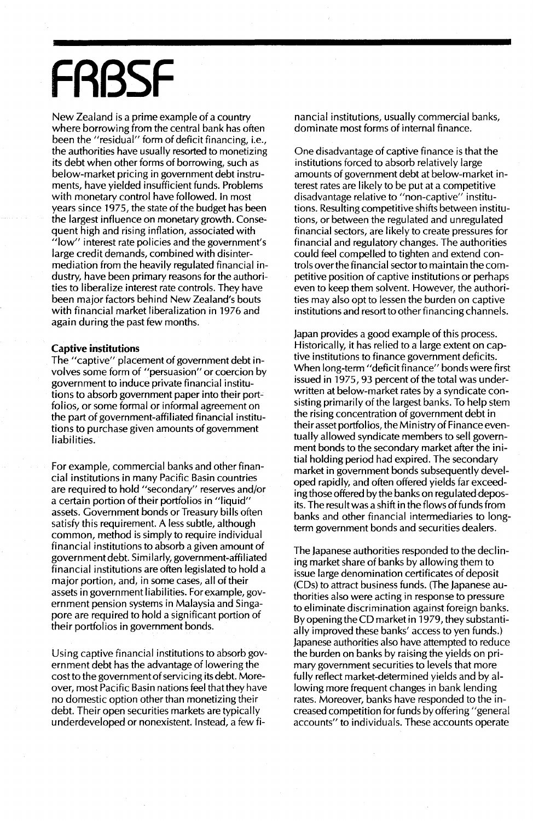# **FRBSF**

New Zealand is a prime example of a country where borrowing from the central bank has often been the "residual" form of deficit financing, i.e., the authorities have usually resorted to monetizing its debt when other forms of borrowing, such as below-market pricing in government debt instruments, have yielded insufficient funds. Problems with monetary control have followed. In most years since 1975, the state of the budget has been the largest influence on monetary growth. Consequent high and rising inflation, associated with "low" interest rate policies and the government's large credit demands, combined with disintermediation from the heavily regulated financial industry, have been primary reasons for the authorities to liberalize interest rate controls. They have been major factors behind New Zealand's bouts with financial market liberalization in 1976 and again during the past few months.

#### **Captive institutions**

The "captive" placement of government debt involves some form of "persuasion" or coercion by government to induce private financial institutions to absorb government paper into their port~ folios, or some formal or informal agreement on the part of government-affiliated financial institutions to purchase given amounts of government liabilities.

For example, commercial banks and other financial institutions in many Pacific Basin countries are required to hold "secondary" reserves and/or a certain portion of their portfolios in "liquid" assets. Government bonds or Treasury bills often satisfy this requirement. A less subtle, although common, method is simply to require individual financial institutions to absorb a given amount of government debt. Similarly, government-affiliated financial institutions are often legislated to hold a major portion, and, in some cases, all of their assets in government liabilities. For example, government pension systems in Malaysia and Singapore are required to hold a significant portion of their portfolios in government bonds.

Using captive financial institutions to absorb government debt has the advantage of lowering the costto the government of servicing its debt. Moreover, most Pacific Basin nations feel that they have no domestic option other than monetizing their debt. Their open securities markets are typically underdeveloped or nonexistent. Instead, a few financial institutions, usually commercial banks, dominate most forms of internal finance.

One disadvantage of captive finance is that the institutions forced to absorb relatively large amounts of government debt at below-market interest rates are likely to be put at a competitive disadvantage relative to "non-captive" institutions. Resulting competitive shifts between institutions, or between the regulated and unregulated financial sectors, are likely to create pressures for financial and regulatory changes. The authorities could feel compelled to tighten and extend controls over the financial sector to maintain the competitive position of captive institutions or perhaps even to keep them solvent. However, the authorities may also opt to lessen the burden on captive institutions and resort to other financing channels.

Japan provides a good example of this process. Historically, it has relied to a large extent on captive institutions to finance government deficits. When long-term "deficit finance" bonds were first issued in 1975, 93 percent of the total was underwritten at below-market rates by a syndicate consisting primarily of the largest banks. To help stem the rising concentration of government debt in their asset portfolios, the Ministry of Finance eventually allowed syndicate members to sell government bonds to the secondary market after the initial holding period had expired. The secondary market in government bonds subsequently developed rapidly, and often offered yields far exceeding those offered by the banks on regulated deposits. The result was a shift in the flows of funds from banks and other financial intermediaries to longterm government bonds and securities dealers.

The Japanese authorities responded to the declining market share of banks by allowing them to issue large denomination certificates of deposit (CDs) to attract business funds. (The Japanese authorities also were acting in response to pressure to eliminate discrimination against foreign banks. By opening the CD market in 1979, they substantially improved these banks' access to yen funds.) Japanese authorities also have attempted to reduce the burden on banks by raising the yields on primary government securities to levels that more fully reflect market-determined yields and byallowing more frequent changes in bank lending rates. Moreover, banks have responded to the increased competition for funds by offering "general accounts" to individuals. These accounts operate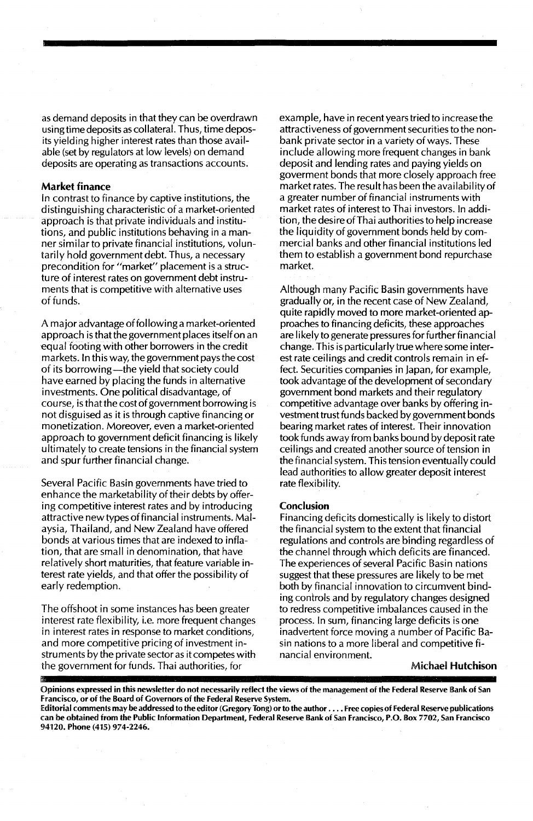as demand deposits in that they can be overdrawn using time deposits as collateral. Thus, time deposits yielding higher interest rates than those available (set by regulators at low levels) on demand deposits are operating as transactions accounts.

#### Market finance

In contrast to finance by captive institutions, the distinguishing characteristic of a market-oriented approach is that private individuals and institutions, and public institutions behaving in a manner similar to private financial institutions, voluntarily hold government debt. Thus, a necessary precondition for "market" placement is a structure of interest rates on government debt instruments that is competitive with alternative uses of funds.

A major advantage offollowing a market-oriented approach is that the government places itself on an equal footing with other borrowers in the credit markets. In this way, the government pays the cost of its borrowing—the yield that society could have earned by placing the funds in alternative investments. One political disadvantage, of course, is that the cost of government borrowing is not disguised as it is through captive financing or monetization. Moreover, even a market-oriented approach to government deficit financing is likely ultimately to create tensions in the financial system and spur further financial change.

Several Pacific Basin governments have tried to enhance the marketability of their debts by offering competitive interest rates and by introducing attractive new types offinancial instruments. Malaysia, Thailand, and New Zealand have offered bonds at various times that are indexed to inflation, that are small in denomination, that have relatively short maturities, that feature variable interest rate yields, and that offer the possibility of early redemption.

The offshoot in some instances has been greater interest rate flexibility, i.e. more frequent changes in interest rates in response to market conditions, and more competitive pricing of investment instruments by the private sector as it competes with the government for funds. Thai authorities, for

example, have in recent years tried to increase the attractiveness of government securities to the nonbank private sector in a variety of ways. These include allowing more frequent changes in bank deposit and lending rates and paying yields on goverment bonds that more closely approach free market rates. The result has been the availability of a greater number of financial instruments with market rates of interest to Thai investors. In addition, the desire ofThai authorities to help increase the liquidity of government bonds held by commercial banks and other financial institutions led them to establish a government bond repurchase market.

Although many Pacific Basin governments have gradually or, in the recent case of New Zealand, quite rapidly moved to more market-oriented approaches to financing deficits, these approaches are likely to generate pressures for further financial change. This is particularly true where some interest rate ceilings and credit controls remain in effect. Securities companies in Japan, for example, took advantage of the development of secondary government bond markets and their regulatory competitive advantage over banks by offering investment trust funds backed by government bonds bearing market rates of interest. Their innovation took funds away from banks bound by deposit rate ceilings and created another source of tension in the financial system. This tension eventually could lead authorities to allow greater deposit interest rate flexibility.

#### Conclusion

Financing deficits domestically is likely to distort the financial system to the extent that financial regulations and controls are binding regardless of the channel through which deficits are financed. The experiences of several Pacific Basin nations suggest that these pressures are likely to be met both by financial innovation to circumvent binding controls and by regulatory changes designed to redress competitive imbalances caused in the process. In sum, financing large deficits is one inadvertent force moving a number of Pacific Basin nations to a more liberal and competitive financial environment.

#### Michael Hutchison

Opinions expressed in this newsletter do not necessarily reflect the views of the management of the federal Reserve Bank of San francisco, or of the Board of Governors of the federal Reserve System.

Editorial comments may be addressed to the editor (Gregory Tong) orto the author .... free copies of federal Reserve publications can be obtained from the Public Information Department, federal Reserve Bank of San francisco, P.O. Box 7702, San francisco 94120. Phone (415) 974-2246.